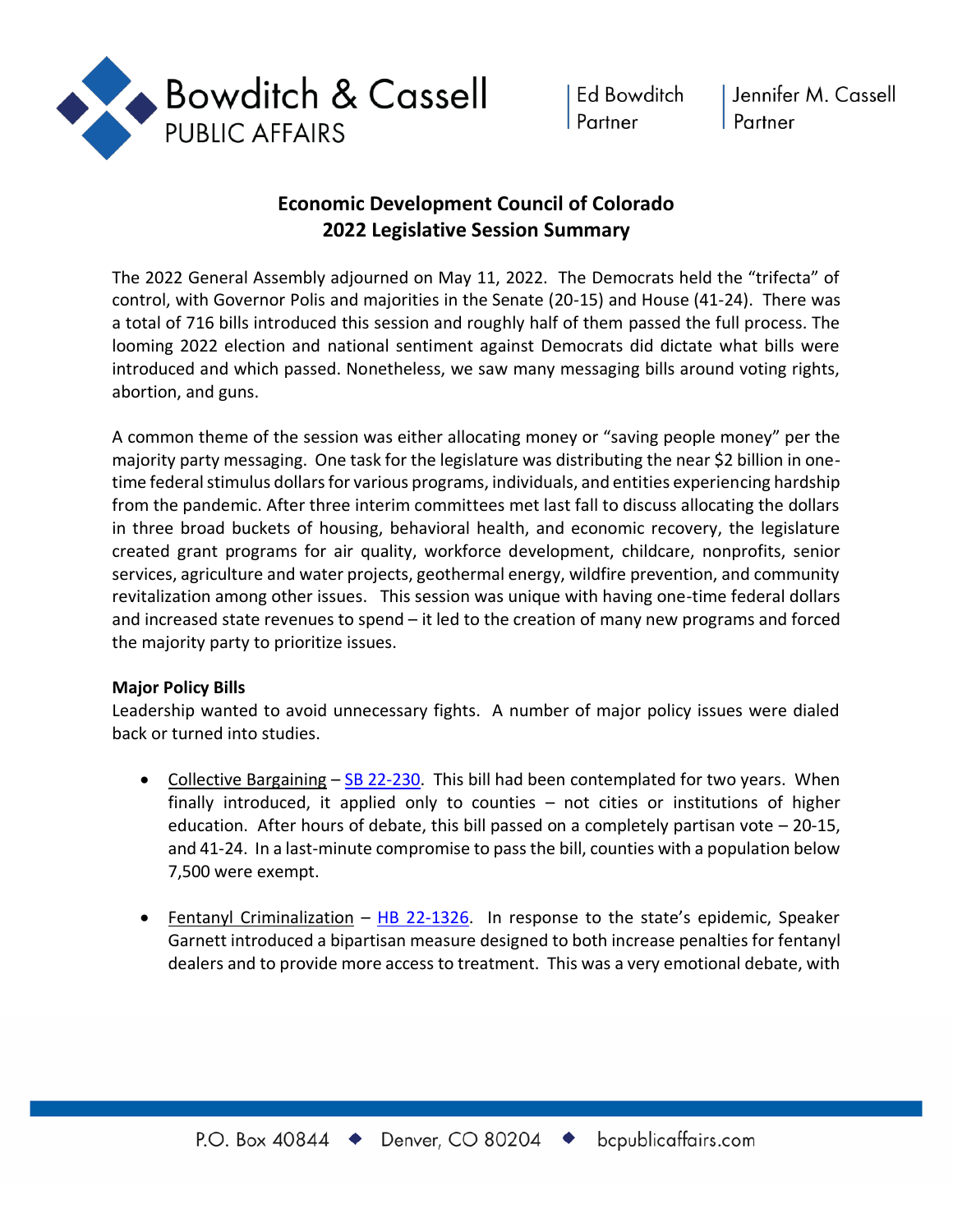

# **Economic Development Council of Colorado 2022 Legislative Session Summary**

The 2022 General Assembly adjourned on May 11, 2022. The Democrats held the "trifecta" of control, with Governor Polis and majorities in the Senate (20-15) and House (41-24). There was a total of 716 bills introduced this session and roughly half of them passed the full process. The looming 2022 election and national sentiment against Democrats did dictate what bills were introduced and which passed. Nonetheless, we saw many messaging bills around voting rights, abortion, and guns.

A common theme of the session was either allocating money or "saving people money" per the majority party messaging. One task for the legislature was distributing the near \$2 billion in onetime federal stimulus dollars for various programs, individuals, and entities experiencing hardship from the pandemic. After three interim committees met last fall to discuss allocating the dollars in three broad buckets of housing, behavioral health, and economic recovery, the legislature created grant programs for air quality, workforce development, childcare, nonprofits, senior services, agriculture and water projects, geothermal energy, wildfire prevention, and community revitalization among other issues. This session was unique with having one-time federal dollars and increased state revenues to spend – it led to the creation of many new programs and forced the majority party to prioritize issues.

## **Major Policy Bills**

Leadership wanted to avoid unnecessary fights. A number of major policy issues were dialed back or turned into studies.

- Collective Bargaining SB 22-230. This bill had been contemplated for two years. When finally introduced, it applied only to counties – not cities or institutions of higher education. After hours of debate, this bill passed on a completely partisan vote  $-20-15$ , and 41-24. In a last-minute compromise to pass the bill, counties with a population below 7,500 were exempt.
- Fentanyl Criminalization  $-$  HB 22-1326. In response to the state's epidemic, Speaker Garnett introduced a bipartisan measure designed to both increase penalties for fentanyl dealers and to provide more access to treatment. This was a very emotional debate, with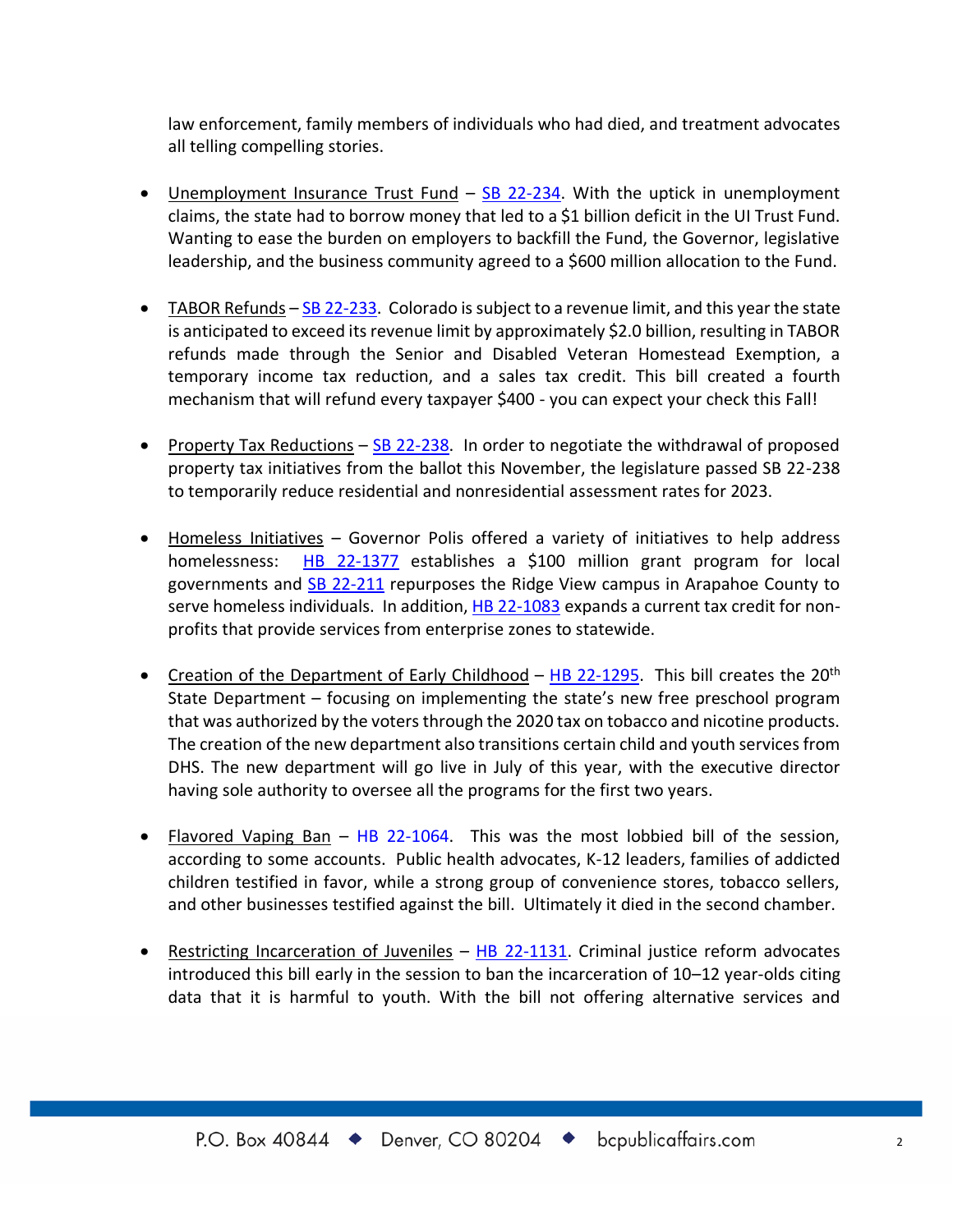law enforcement, family members of individuals who had died, and treatment advocates all telling compelling stories.

- Unemployment Insurance Trust Fund SB 22-234. With the uptick in unemployment claims, the state had to borrow money that led to a \$1 billion deficit in the UI Trust Fund. Wanting to ease the burden on employers to backfill the Fund, the Governor, legislative leadership, and the business community agreed to a \$600 million allocation to the Fund.
- TABOR Refunds  $-$  SB 22-233. Colorado is subject to a revenue limit, and this year the state is anticipated to exceed its revenue limit by approximately \$2.0 billion, resulting in TABOR refunds made through the Senior and Disabled Veteran Homestead Exemption, a temporary income tax reduction, and a sales tax credit. This bill created a fourth mechanism that will refund every taxpayer \$400 - you can expect your check this Fall!
- Property Tax Reductions  $-$  SB 22-238. In order to negotiate the withdrawal of proposed property tax initiatives from the ballot this November, the legislature passed SB 22-238 to temporarily reduce residential and nonresidential assessment rates for 2023.
- Homeless Initiatives Governor Polis offered a variety of initiatives to help address homelessness: HB 22-1377 establishes a \$100 million grant program for local governments and SB 22-211 repurposes the Ridge View campus in Arapahoe County to serve homeless individuals. In addition, HB 22-1083 expands a current tax credit for nonprofits that provide services from enterprise zones to statewide.
- Creation of the Department of Early Childhood HB 22-1295. This bill creates the 20<sup>th</sup> State Department – focusing on implementing the state's new free preschool program that was authorized by the voters through the 2020 tax on tobacco and nicotine products. The creation of the new department also transitions certain child and youth services from DHS. The new department will go live in July of this year, with the executive director having sole authority to oversee all the programs for the first two years.
- Flavored Vaping Ban HB 22-1064. This was the most lobbied bill of the session, according to some accounts. Public health advocates, K-12 leaders, families of addicted children testified in favor, while a strong group of convenience stores, tobacco sellers, and other businesses testified against the bill. Ultimately it died in the second chamber.
- Restricting Incarceration of Juveniles HB 22-1131. Criminal justice reform advocates introduced this bill early in the session to ban the incarceration of 10–12 year-olds citing data that it is harmful to youth. With the bill not offering alternative services and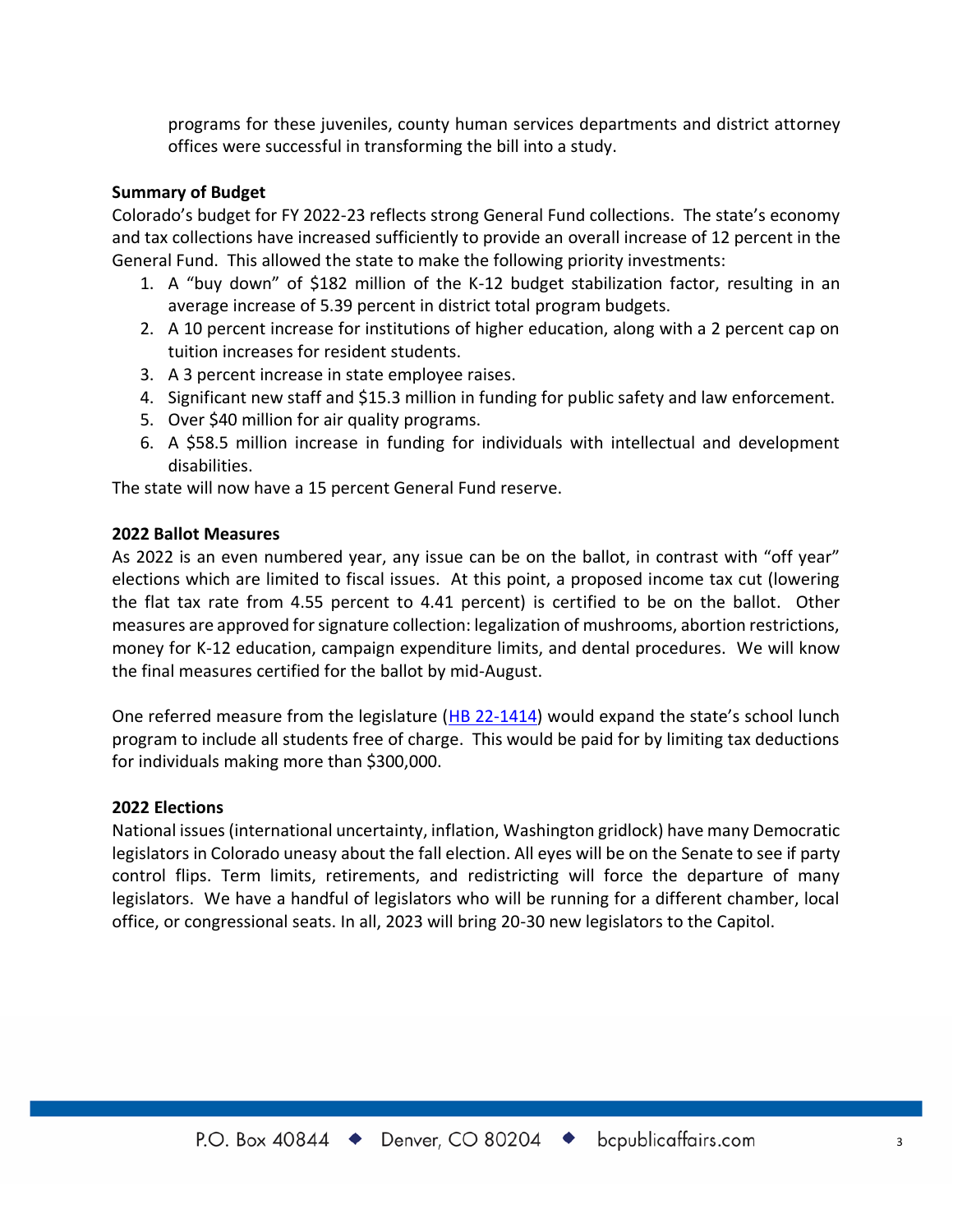programs for these juveniles, county human services departments and district attorney offices were successful in transforming the bill into a study.

### **Summary of Budget**

Colorado's budget for FY 2022-23 reflects strong General Fund collections. The state's economy and tax collections have increased sufficiently to provide an overall increase of 12 percent in the General Fund. This allowed the state to make the following priority investments:

- 1. A "buy down" of \$182 million of the K-12 budget stabilization factor, resulting in an average increase of 5.39 percent in district total program budgets.
- 2. A 10 percent increase for institutions of higher education, along with a 2 percent cap on tuition increases for resident students.
- 3. A 3 percent increase in state employee raises.
- 4. Significant new staff and \$15.3 million in funding for public safety and law enforcement.
- 5. Over \$40 million for air quality programs.
- 6. A \$58.5 million increase in funding for individuals with intellectual and development disabilities.

The state will now have a 15 percent General Fund reserve.

#### **2022 Ballot Measures**

As 2022 is an even numbered year, any issue can be on the ballot, in contrast with "off year" elections which are limited to fiscal issues. At this point, a proposed income tax cut (lowering the flat tax rate from 4.55 percent to 4.41 percent) is certified to be on the ballot. Other measures are approved for signature collection: legalization of mushrooms, abortion restrictions, money for K-12 education, campaign expenditure limits, and dental procedures. We will know the final measures certified for the ballot by mid-August.

One referred measure from the legislature (HB 22-1414) would expand the state's school lunch program to include all students free of charge. This would be paid for by limiting tax deductions for individuals making more than \$300,000.

## **2022 Elections**

National issues (international uncertainty, inflation, Washington gridlock) have many Democratic legislators in Colorado uneasy about the fall election. All eyes will be on the Senate to see if party control flips. Term limits, retirements, and redistricting will force the departure of many legislators. We have a handful of legislators who will be running for a different chamber, local office, or congressional seats. In all, 2023 will bring 20-30 new legislators to the Capitol.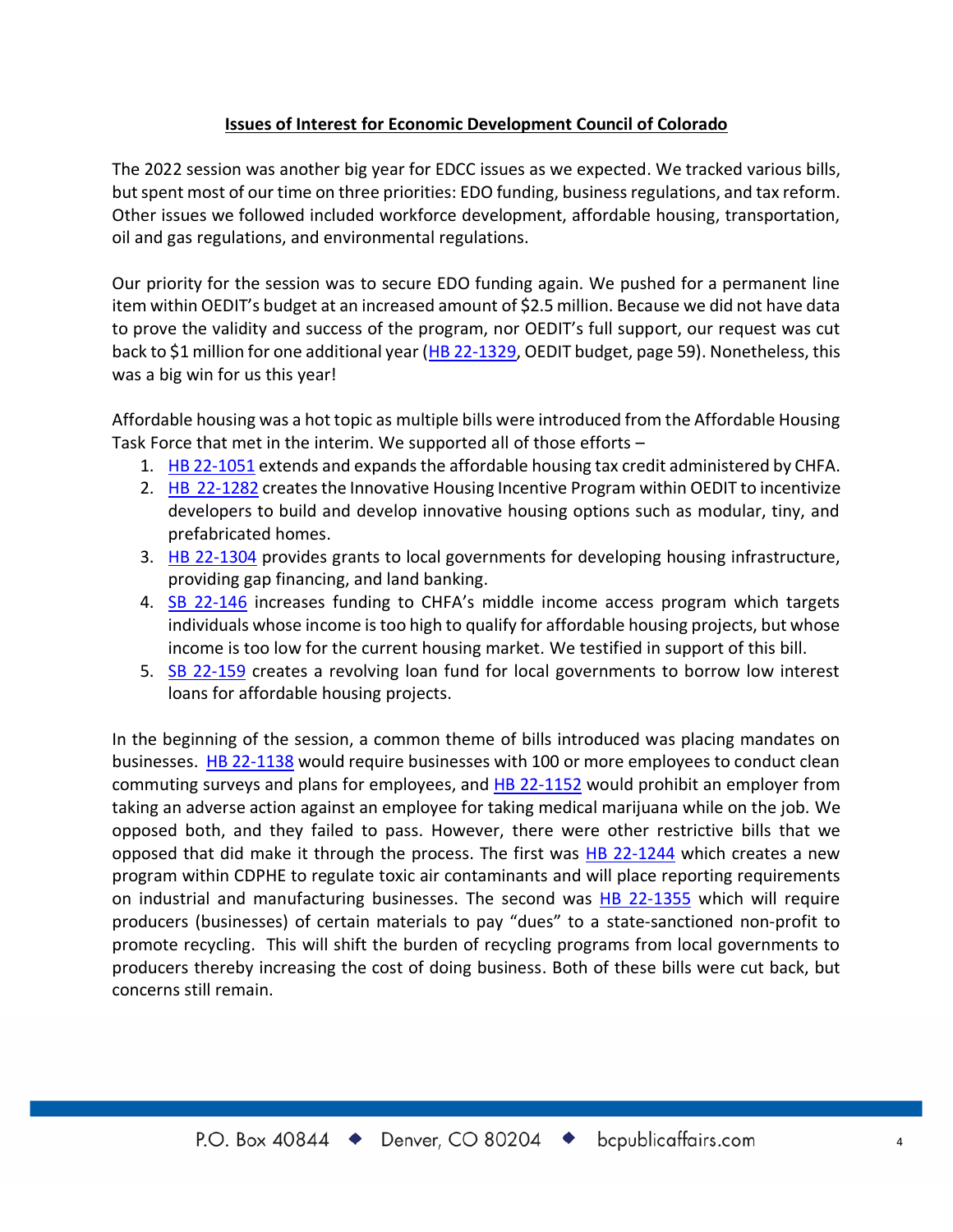## **Issues of Interest for Economic Development Council of Colorado**

The 2022 session was another big year for EDCC issues as we expected. We tracked various bills, but spent most of our time on three priorities: EDO funding, business regulations, and tax reform. Other issues we followed included workforce development, affordable housing, transportation, oil and gas regulations, and environmental regulations.

Our priority for the session was to secure EDO funding again. We pushed for a permanent line item within OEDIT's budget at an increased amount of \$2.5 million. Because we did not have data to prove the validity and success of the program, nor OEDIT's full support, our request was cut back to \$1 million for one additional year (HB 22-1329, OEDIT budget, page 59). Nonetheless, this was a big win for us this year!

Affordable housing was a hot topic as multiple bills were introduced from the Affordable Housing Task Force that met in the interim. We supported all of those efforts –

- 1. HB 22-1051 extends and expands the affordable housing tax credit administered by CHFA.
- 2. HB 22-1282 creates the Innovative Housing Incentive Program within OEDIT to incentivize developers to build and develop innovative housing options such as modular, tiny, and prefabricated homes.
- 3. HB 22-1304 provides grants to local governments for developing housing infrastructure, providing gap financing, and land banking.
- 4. SB 22-146 increases funding to CHFA's middle income access program which targets individuals whose income is too high to qualify for affordable housing projects, but whose income is too low for the current housing market. We testified in support of this bill.
- 5. SB 22-159 creates a revolving loan fund for local governments to borrow low interest loans for affordable housing projects.

In the beginning of the session, a common theme of bills introduced was placing mandates on businesses. HB 22-1138 would require businesses with 100 or more employees to conduct clean commuting surveys and plans for employees, and HB 22-1152 would prohibit an employer from taking an adverse action against an employee for taking medical marijuana while on the job. We opposed both, and they failed to pass. However, there were other restrictive bills that we opposed that did make it through the process. The first was HB 22-1244 which creates a new program within CDPHE to regulate toxic air contaminants and will place reporting requirements on industrial and manufacturing businesses. The second was HB 22-1355 which will require producers (businesses) of certain materials to pay "dues" to a state-sanctioned non-profit to promote recycling. This will shift the burden of recycling programs from local governments to producers thereby increasing the cost of doing business. Both of these bills were cut back, but concerns still remain.